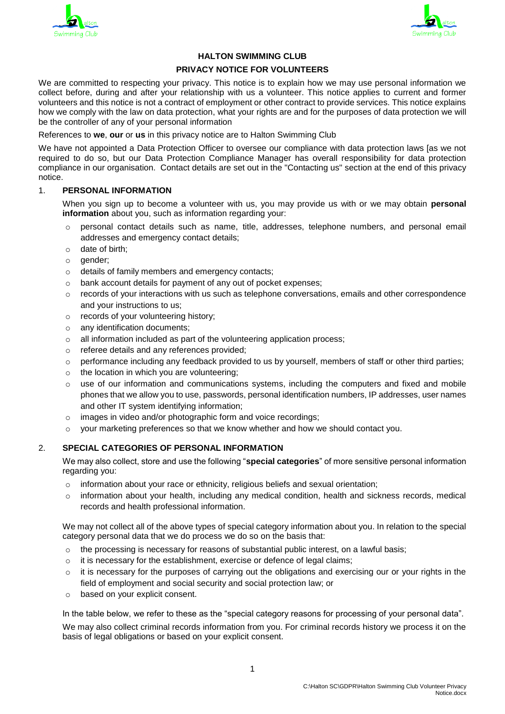



# **HALTON SWIMMING CLUB**

#### **PRIVACY NOTICE FOR VOLUNTEERS**

We are committed to respecting your privacy. This notice is to explain how we may use personal information we collect before, during and after your relationship with us a volunteer. This notice applies to current and former volunteers and this notice is not a contract of employment or other contract to provide services. This notice explains how we comply with the law on data protection, what your rights are and for the purposes of data protection we will be the controller of any of your personal information

References to **we**, **our** or **us** in this privacy notice are to Halton Swimming Club

We have not appointed a Data Protection Officer to oversee our compliance with data protection laws [as we not required to do so, but our Data Protection Compliance Manager has overall responsibility for data protection compliance in our organisation. Contact details are set out in the "Contacting us" section at the end of this privacy notice.

#### 1. **PERSONAL INFORMATION**

When you sign up to become a volunteer with us, you may provide us with or we may obtain **personal information** about you, such as information regarding your:

- o personal contact details such as name, title, addresses, telephone numbers, and personal email addresses and emergency contact details;
- o date of birth;
- o gender;
- o details of family members and emergency contacts;
- o bank account details for payment of any out of pocket expenses;
- $\circ$  records of your interactions with us such as telephone conversations, emails and other correspondence and your instructions to us;
- o records of your volunteering history;
- o any identification documents;
- o all information included as part of the volunteering application process;
- o referee details and any references provided;
- $\circ$  performance including any feedback provided to us by yourself, members of staff or other third parties;
- $\circ$  the location in which you are volunteering;
- $\circ$  use of our information and communications systems, including the computers and fixed and mobile phones that we allow you to use, passwords, personal identification numbers, IP addresses, user names and other IT system identifying information;
- o images in video and/or photographic form and voice recordings;
- $\circ$  your marketing preferences so that we know whether and how we should contact you.

### 2. **SPECIAL CATEGORIES OF PERSONAL INFORMATION**

We may also collect, store and use the following "**special categories**" of more sensitive personal information regarding you:

- o information about your race or ethnicity, religious beliefs and sexual orientation;
- o information about your health, including any medical condition, health and sickness records, medical records and health professional information.

We may not collect all of the above types of special category information about you. In relation to the special category personal data that we do process we do so on the basis that:

- $\circ$  the processing is necessary for reasons of substantial public interest, on a lawful basis;
- o it is necessary for the establishment, exercise or defence of legal claims;
- $\circ$  it is necessary for the purposes of carrying out the obligations and exercising our or your rights in the field of employment and social security and social protection law; or
- o based on your explicit consent.

In the table below, we refer to these as the "special category reasons for processing of your personal data".

We may also collect criminal records information from you. For criminal records history we process it on the basis of legal obligations or based on your explicit consent.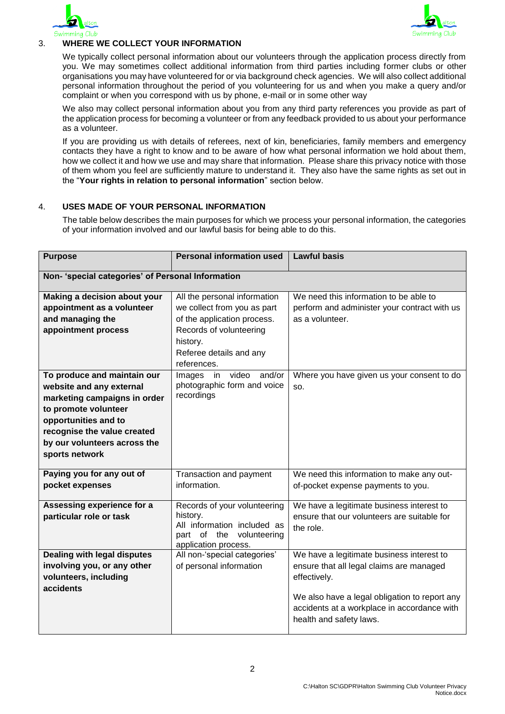



# 3. **WHERE WE COLLECT YOUR INFORMATION**

We typically collect personal information about our volunteers through the application process directly from you. We may sometimes collect additional information from third parties including former clubs or other organisations you may have volunteered for or via background check agencies. We will also collect additional personal information throughout the period of you volunteering for us and when you make a query and/or complaint or when you correspond with us by phone, e-mail or in some other way

We also may collect personal information about you from any third party references you provide as part of the application process for becoming a volunteer or from any feedback provided to us about your performance as a volunteer.

If you are providing us with details of referees, next of kin, beneficiaries, family members and emergency contacts they have a right to know and to be aware of how what personal information we hold about them, how we collect it and how we use and may share that information. Please share this privacy notice with those of them whom you feel are sufficiently mature to understand it. They also have the same rights as set out in the "**Your rights in relation to personal information**" section below.

## 4. **USES MADE OF YOUR PERSONAL INFORMATION**

The table below describes the main purposes for which we process your personal information, the categories of your information involved and our lawful basis for being able to do this.

| <b>Purpose</b>                                                                                                                                                                                                           | <b>Personal information used</b>                                                                                            | <b>Lawful basis</b>                                                                                                                                                                                                              |  |
|--------------------------------------------------------------------------------------------------------------------------------------------------------------------------------------------------------------------------|-----------------------------------------------------------------------------------------------------------------------------|----------------------------------------------------------------------------------------------------------------------------------------------------------------------------------------------------------------------------------|--|
| Non- 'special categories' of Personal Information                                                                                                                                                                        |                                                                                                                             |                                                                                                                                                                                                                                  |  |
| Making a decision about your<br>appointment as a volunteer<br>and managing the                                                                                                                                           | All the personal information<br>we collect from you as part<br>of the application process.                                  | We need this information to be able to<br>perform and administer your contract with us<br>as a volunteer.                                                                                                                        |  |
| appointment process                                                                                                                                                                                                      | Records of volunteering<br>history.<br>Referee details and any<br>references.                                               |                                                                                                                                                                                                                                  |  |
| To produce and maintain our<br>website and any external<br>marketing campaigns in order<br>to promote volunteer<br>opportunities and to<br>recognise the value created<br>by our volunteers across the<br>sports network | video<br>and/or<br>in<br>Images<br>photographic form and voice<br>recordings                                                | Where you have given us your consent to do<br>SO.                                                                                                                                                                                |  |
| Paying you for any out of<br>pocket expenses                                                                                                                                                                             | Transaction and payment<br>information.                                                                                     | We need this information to make any out-<br>of-pocket expense payments to you.                                                                                                                                                  |  |
| Assessing experience for a<br>particular role or task                                                                                                                                                                    | Records of your volunteering<br>history.<br>All information included as<br>part of the volunteering<br>application process. | We have a legitimate business interest to<br>ensure that our volunteers are suitable for<br>the role.                                                                                                                            |  |
| <b>Dealing with legal disputes</b><br>involving you, or any other<br>volunteers, including<br>accidents                                                                                                                  | All non-'special categories'<br>of personal information                                                                     | We have a legitimate business interest to<br>ensure that all legal claims are managed<br>effectively.<br>We also have a legal obligation to report any<br>accidents at a workplace in accordance with<br>health and safety laws. |  |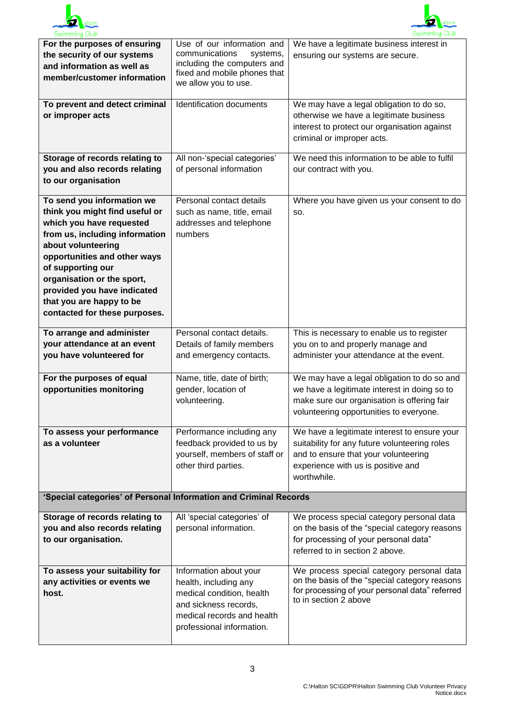



| <b>SWIMMING CIUD</b>                                                                                                                                                                                                                                                                                                            |                                                                                                                                                                  | <b>OWITHTHING CIUD</b>                                                                                                                                                                     |  |  |
|---------------------------------------------------------------------------------------------------------------------------------------------------------------------------------------------------------------------------------------------------------------------------------------------------------------------------------|------------------------------------------------------------------------------------------------------------------------------------------------------------------|--------------------------------------------------------------------------------------------------------------------------------------------------------------------------------------------|--|--|
| For the purposes of ensuring<br>the security of our systems<br>and information as well as<br>member/customer information                                                                                                                                                                                                        | Use of our information and<br>communications<br>systems,<br>including the computers and<br>fixed and mobile phones that<br>we allow you to use.                  | We have a legitimate business interest in<br>ensuring our systems are secure.                                                                                                              |  |  |
| To prevent and detect criminal<br>or improper acts                                                                                                                                                                                                                                                                              | Identification documents                                                                                                                                         | We may have a legal obligation to do so,<br>otherwise we have a legitimate business<br>interest to protect our organisation against<br>criminal or improper acts.                          |  |  |
| Storage of records relating to<br>you and also records relating<br>to our organisation                                                                                                                                                                                                                                          | All non-'special categories'<br>of personal information                                                                                                          | We need this information to be able to fulfil<br>our contract with you.                                                                                                                    |  |  |
| To send you information we<br>think you might find useful or<br>which you have requested<br>from us, including information<br>about volunteering<br>opportunities and other ways<br>of supporting our<br>organisation or the sport,<br>provided you have indicated<br>that you are happy to be<br>contacted for these purposes. | Personal contact details<br>such as name, title, email<br>addresses and telephone<br>numbers                                                                     | Where you have given us your consent to do<br>SO.                                                                                                                                          |  |  |
| To arrange and administer<br>your attendance at an event<br>you have volunteered for                                                                                                                                                                                                                                            | Personal contact details.<br>Details of family members<br>and emergency contacts.                                                                                | This is necessary to enable us to register<br>you on to and properly manage and<br>administer your attendance at the event.                                                                |  |  |
| For the purposes of equal<br>opportunities monitoring                                                                                                                                                                                                                                                                           | Name, title, date of birth;<br>gender, location of<br>volunteering.                                                                                              | We may have a legal obligation to do so and<br>we have a legitimate interest in doing so to<br>make sure our organisation is offering fair<br>volunteering opportunities to everyone.      |  |  |
| To assess your performance<br>as a volunteer                                                                                                                                                                                                                                                                                    | Performance including any<br>feedback provided to us by<br>yourself, members of staff or<br>other third parties.                                                 | We have a legitimate interest to ensure your<br>suitability for any future volunteering roles<br>and to ensure that your volunteering<br>experience with us is positive and<br>worthwhile. |  |  |
| 'Special categories' of Personal Information and Criminal Records                                                                                                                                                                                                                                                               |                                                                                                                                                                  |                                                                                                                                                                                            |  |  |
| Storage of records relating to<br>you and also records relating<br>to our organisation.                                                                                                                                                                                                                                         | All 'special categories' of<br>personal information.                                                                                                             | We process special category personal data<br>on the basis of the "special category reasons<br>for processing of your personal data"<br>referred to in section 2 above.                     |  |  |
| To assess your suitability for<br>any activities or events we<br>host.                                                                                                                                                                                                                                                          | Information about your<br>health, including any<br>medical condition, health<br>and sickness records,<br>medical records and health<br>professional information. | We process special category personal data<br>on the basis of the "special category reasons<br>for processing of your personal data" referred<br>to in section 2 above                      |  |  |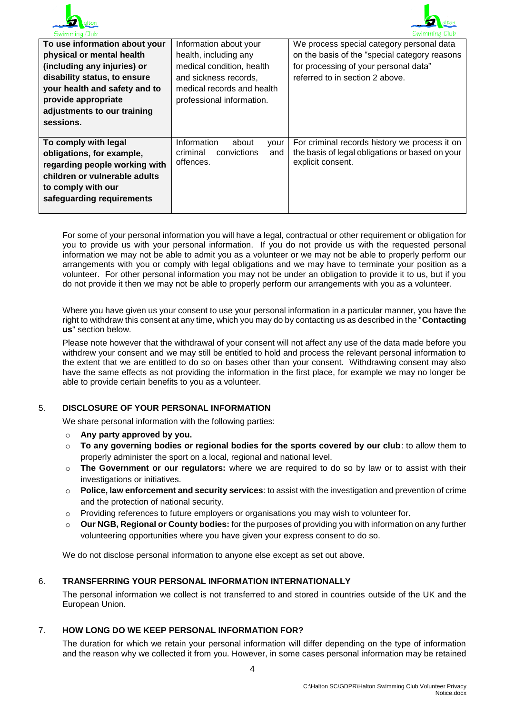



|                                | $\sim$ $\cdots$ $\cdots$ $\cdots$ $\cdots$      |
|--------------------------------|-------------------------------------------------|
| Information about your         | We process special category personal data       |
| health, including any          | on the basis of the "special category reasons   |
| medical condition, health      | for processing of your personal data"           |
| and sickness records.          | referred to in section 2 above.                 |
| medical records and health     |                                                 |
|                                |                                                 |
|                                |                                                 |
|                                |                                                 |
|                                |                                                 |
| Information<br>about<br>vour   | For criminal records history we process it on   |
| criminal<br>convictions<br>and | the basis of legal obligations or based on your |
| offences.                      | explicit consent.                               |
|                                |                                                 |
|                                |                                                 |
|                                |                                                 |
|                                |                                                 |
|                                | professional information.                       |

For some of your personal information you will have a legal, contractual or other requirement or obligation for you to provide us with your personal information. If you do not provide us with the requested personal information we may not be able to admit you as a volunteer or we may not be able to properly perform our arrangements with you or comply with legal obligations and we may have to terminate your position as a volunteer. For other personal information you may not be under an obligation to provide it to us, but if you do not provide it then we may not be able to properly perform our arrangements with you as a volunteer.

Where you have given us your consent to use your personal information in a particular manner, you have the right to withdraw this consent at any time, which you may do by contacting us as described in the "**Contacting us**" section below.

Please note however that the withdrawal of your consent will not affect any use of the data made before you withdrew your consent and we may still be entitled to hold and process the relevant personal information to the extent that we are entitled to do so on bases other than your consent. Withdrawing consent may also have the same effects as not providing the information in the first place, for example we may no longer be able to provide certain benefits to you as a volunteer.

### 5. **DISCLOSURE OF YOUR PERSONAL INFORMATION**

We share personal information with the following parties:

- o **Any party approved by you.**
- o **To any governing bodies or regional bodies for the sports covered by our club**: to allow them to properly administer the sport on a local, regional and national level.
- o **The Government or our regulators:** where we are required to do so by law or to assist with their investigations or initiatives.
- o **Police, law enforcement and security services**: to assist with the investigation and prevention of crime and the protection of national security.
- Providing references to future employers or organisations you may wish to volunteer for.
- o **Our NGB, Regional or County bodies:** for the purposes of providing you with information on any further volunteering opportunities where you have given your express consent to do so.

We do not disclose personal information to anyone else except as set out above.

### 6. **TRANSFERRING YOUR PERSONAL INFORMATION INTERNATIONALLY**

The personal information we collect is not transferred to and stored in countries outside of the UK and the European Union.

#### 7. **HOW LONG DO WE KEEP PERSONAL INFORMATION FOR?**

The duration for which we retain your personal information will differ depending on the type of information and the reason why we collected it from you. However, in some cases personal information may be retained